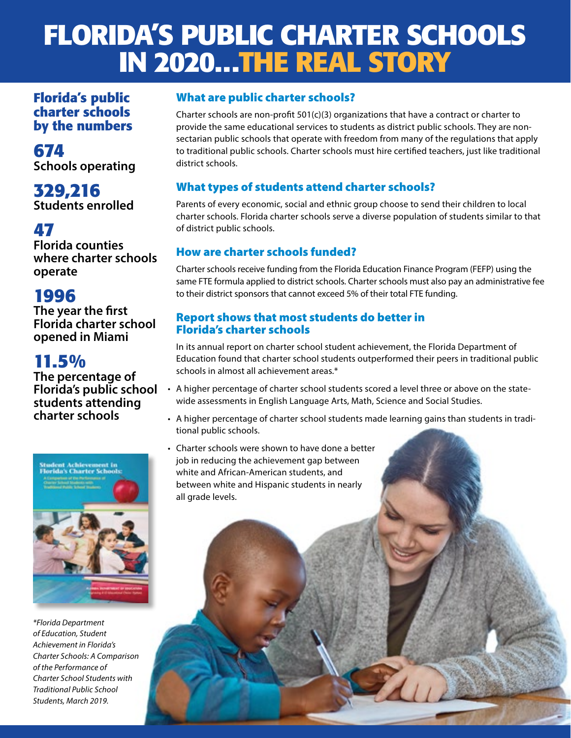## **FLORIDA'S PUBLIC CHARTER SCHOOLS IN 2020...THE REAL STORY**

**Florida's public charter schools by the numbers**

**674 Schools operating**

**329,216 Students enrolled**

## **47**

**Florida counties where charter schools operate**

## **1996**

**The year the first Florida charter school opened in Miami**

## **11.5%**

**The percentage of Florida's public school students attending charter schools**



*\*Florida Department of Education, Student Achievement in Florida's Charter Schools: A Comparison of the Performance of Charter School Students with Traditional Public School Students, March 2019.*

#### What are public charter schools?

Charter schools are non-profit  $501(c)(3)$  organizations that have a contract or charter to provide the same educational services to students as district public schools. They are nonsectarian public schools that operate with freedom from many of the regulations that apply to traditional public schools. Charter schools must hire certified teachers, just like traditional district schools.

#### What types of students attend charter schools?

Parents of every economic, social and ethnic group choose to send their children to local charter schools. Florida charter schools serve a diverse population of students similar to that of district public schools.

#### How are charter schools funded?

Charter schools receive funding from the Florida Education Finance Program (FEFP) using the same FTE formula applied to district schools. Charter schools must also pay an administrative fee to their district sponsors that cannot exceed 5% of their total FTE funding.

#### Report shows that most students do better in Florida's charter schools

In its annual report on charter school student achievement, the Florida Department of Education found that charter school students outperformed their peers in traditional public schools in almost all achievement areas.\*

- A higher percentage of charter school students scored a level three or above on the statewide assessments in English Language Arts, Math, Science and Social Studies.
- A higher percentage of charter school students made learning gains than students in traditional public schools.
- Charter schools were shown to have done a better job in reducing the achievement gap between white and African-American students, and between white and Hispanic students in nearly all grade levels.